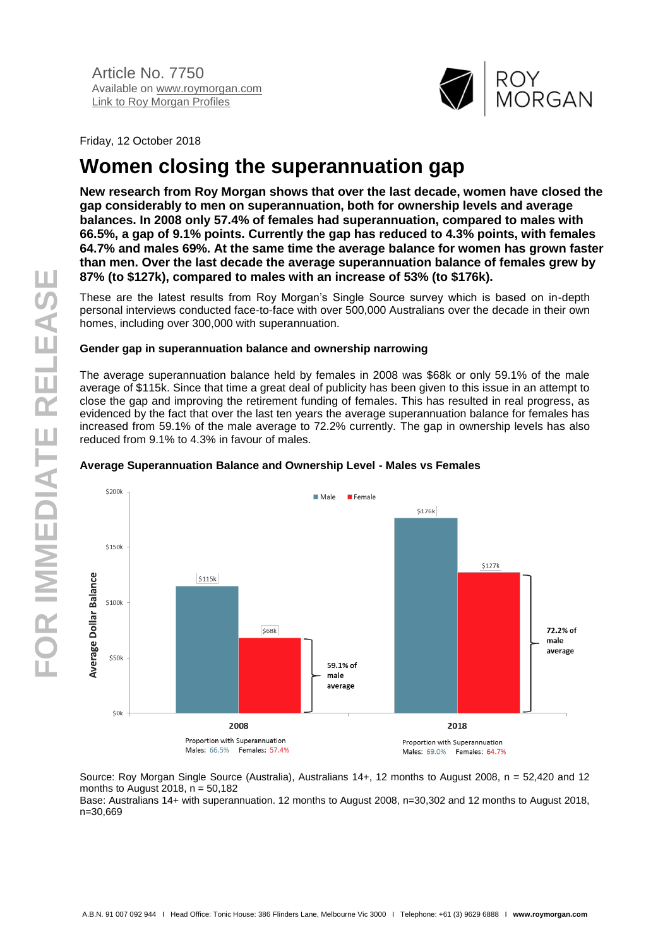

Friday, 12 October 2018

# **Women closing the superannuation gap**

**New research from Roy Morgan shows that over the last decade, women have closed the gap considerably to men on superannuation, both for ownership levels and average balances. In 2008 only 57.4% of females had superannuation, compared to males with 66.5%, a gap of 9.1% points. Currently the gap has reduced to 4.3% points, with females 64.7% and males 69%. At the same time the average balance for women has grown faster than men. Over the last decade the average superannuation balance of females grew by 87% (to \$127k), compared to males with an increase of 53% (to \$176k).**

These are the latest results from Roy Morgan's Single Source survey which is based on in-depth personal interviews conducted face-to-face with over 500,000 Australians over the decade in their own homes, including over 300,000 with superannuation.

#### **Gender gap in superannuation balance and ownership narrowing**

The average superannuation balance held by females in 2008 was \$68k or only 59.1% of the male average of \$115k. Since that time a great deal of publicity has been given to this issue in an attempt to close the gap and improving the retirement funding of females. This has resulted in real progress, as evidenced by the fact that over the last ten years the average superannuation balance for females has increased from 59.1% of the male average to 72.2% currently. The gap in ownership levels has also reduced from 9.1% to 4.3% in favour of males.

#### S2004  $M$ Male **E** Female \$176k \$150 \$127k Average Dollar Balance  $$115k$  $5100$ 72.2% of  $S68k$ male average \$50 59.1% of male average \$0k 2008 2018 Proportion with Superannuation Proportion with Superannuation Males: 66.5% Females: 57.4% Males: 69.0% Females: 64.7%

#### **Average Superannuation Balance and Ownership Level - Males vs Females**

Source: Roy Morgan Single Source (Australia), Australians 14+, 12 months to August 2008, n = 52,420 and 12 months to August 2018,  $n = 50,182$ 

Base: Australians 14+ with superannuation. 12 months to August 2008, n=30,302 and 12 months to August 2018, n=30,669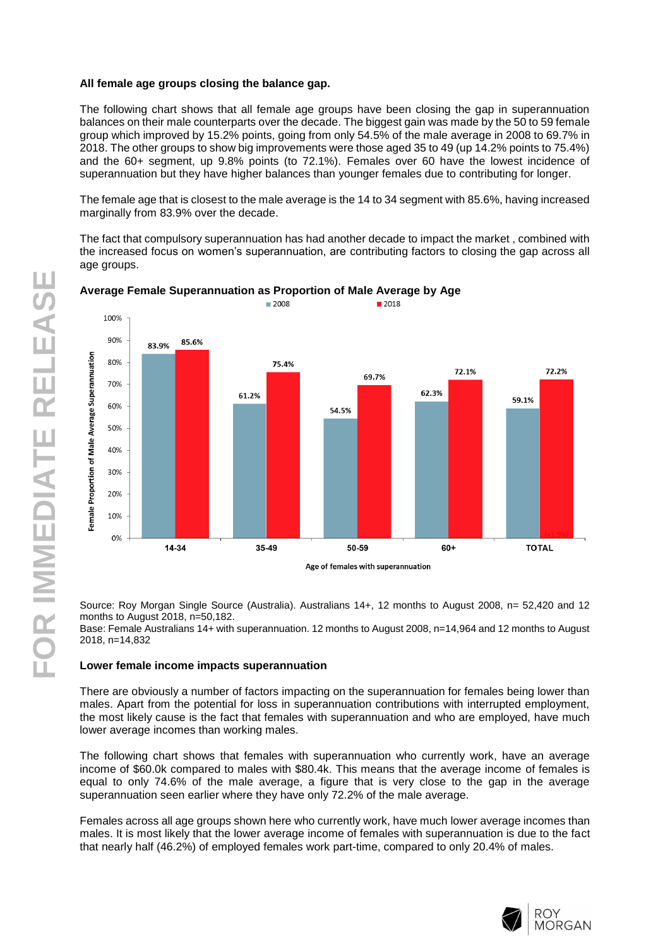#### **All female age groups closing the balance gap.**

The following chart shows that all female age groups have been closing the gap in superannuation balances on their male counterparts over the decade. The biggest gain was made by the 50 to 59 female group which improved by 15.2% points, going from only 54.5% of the male average in 2008 to 69.7% in 2018. The other groups to show big improvements were those aged 35 to 49 (up 14.2% points to 75.4%) and the 60+ segment, up 9.8% points (to 72.1%). Females over 60 have the lowest incidence of superannuation but they have higher balances than younger females due to contributing for longer.

The female age that is closest to the male average is the 14 to 34 segment with 85.6%, having increased marginally from 83.9% over the decade.

The fact that compulsory superannuation has had another decade to impact the market , combined with the increased focus on women's superannuation, are contributing factors to closing the gap across all age groups.



# **Average Female Superannuation as Proportion of Male Average by Age**

Source: Roy Morgan Single Source (Australia). Australians 14+, 12 months to August 2008, n= 52,420 and 12 months to August 2018, n=50,182.

Base: Female Australians 14+ with superannuation. 12 months to August 2008, n=14,964 and 12 months to August 2018, n=14,832

#### **Lower female income impacts superannuation**

There are obviously a number of factors impacting on the superannuation for females being lower than males. Apart from the potential for loss in superannuation contributions with interrupted employment, the most likely cause is the fact that females with superannuation and who are employed, have much lower average incomes than working males.

The following chart shows that females with superannuation who currently work, have an average income of \$60.0k compared to males with \$80.4k. This means that the average income of females is equal to only 74.6% of the male average, a figure that is very close to the gap in the average superannuation seen earlier where they have only 72.2% of the male average.

Females across all age groups shown here who currently work, have much lower average incomes than males. It is most likely that the lower average income of females with superannuation is due to the fact that nearly half (46.2%) of employed females work part -time, compared to only 20.4% of males.

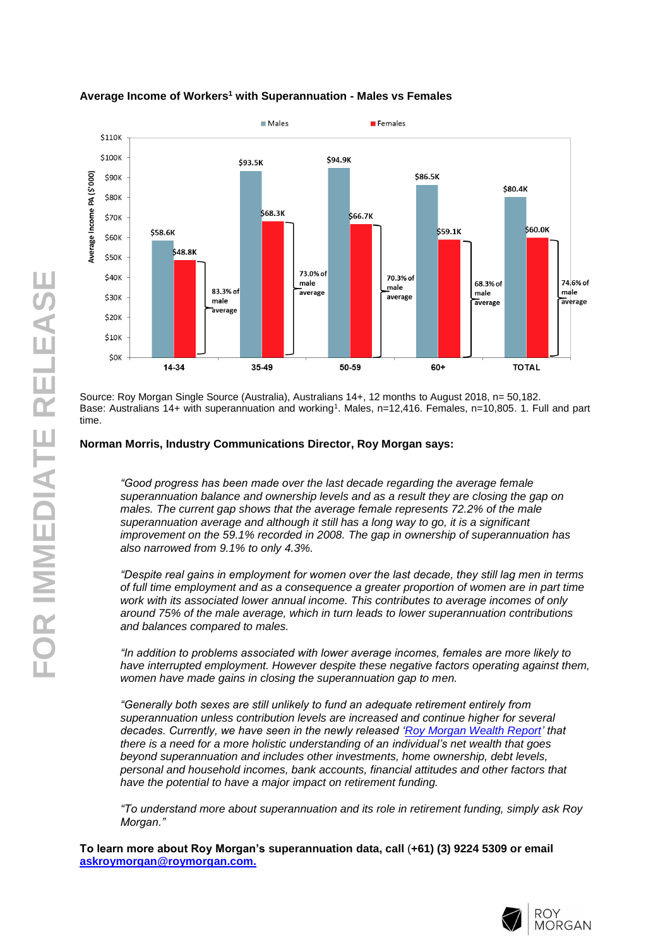

# **Average Income of Workers <sup>1</sup> with Superannuation - Males vs Females**

Source: Roy Morgan Single Source (Australia), Australians 14+, 12 months to August 2018, n= 50,182. Base: Australians 14+ with superannuation and working<sup>1</sup>. Males, n=12,416. Females, n=10,805. 1. Full and part time.

#### **Norman Morris, Industry Communications Director, Roy Morgan says:**

*"Good progress has been made over the last decade regarding the average female superannuation balance and ownership levels and as a result they are closing the gap on males. The current gap shows that the average female represents 72.2% of the male superannuation average and although it still has a long way to go, it is a significant improvement on the 59.1% recorded in 2008. The gap in ownership of superannuation has also narrowed from 9.1% to only 4.3% .*

*"Despite real gains in employment for women over the last decade, they still lag men in terms of full time employment and as a consequence a greater proportion of women are in part time work with its associated lower annual income. This contributes to average incomes of only around 75% of the male average, which in turn leads to lower superannuation contributions and balances compared to males.*

*"In addition to problems associated with lower average incomes, females are more likely to have interrupted employment. However despite these negative factors operating against them, women have made gains in closing the superannuation gap to men .*

*"Generally both sexes are still unlikely to fund an adequate retirement entirely from superannuation unless contribution levels are increased and continue higher for several decades. Currently, we have seen in the newly released ['Roy Morgan Wealth Report'](http://www.roymorganonlinestore.com/Browse/Australia/Banking-and-Finance/Wealth-Reports/Roy-Morgan-Wealth-Report.aspx) that there is a need for a more holistic understanding of an individual's net wealth that goes beyond superannuation and includes other investments, home ownership, debt levels, personal and household incomes, bank accounts, financial attitudes and other factors that have the potential to have a major impact on retirement funding.*

*"To understand more about superannuation and its role in retirement funding, simply ask Roy Morgan."*

**To learn more about Roy Morgan's superannuation data, call**  (**+61) (3) 9224 5309 or email [askroymorgan@roymorgan.com](mailto:askroymorgan@roymorgan.com) .**